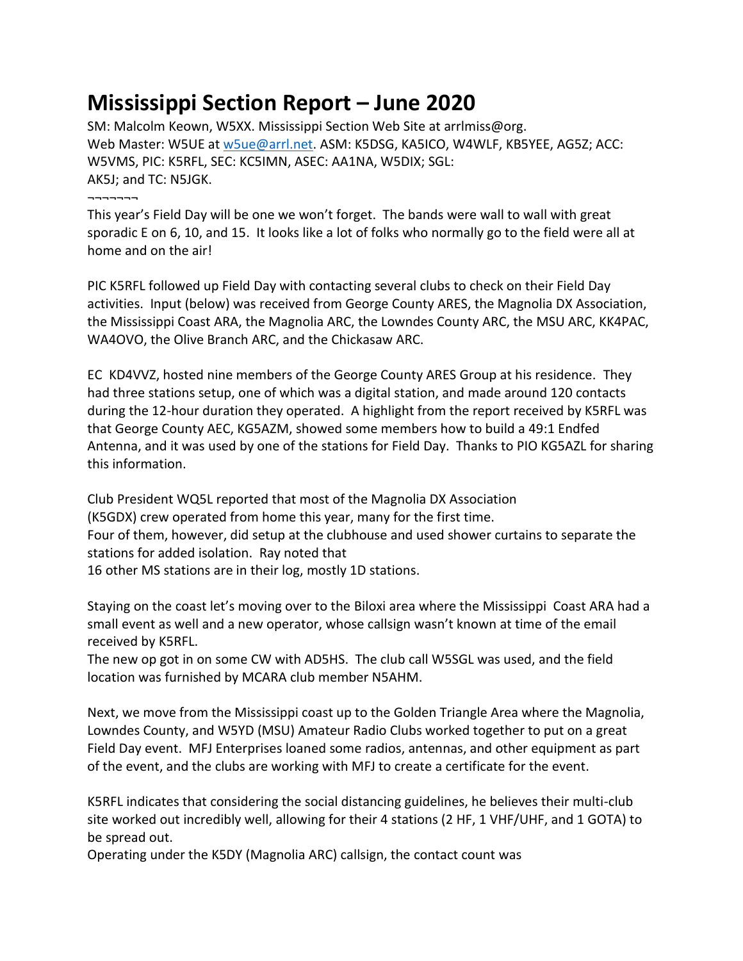## **Mississippi Section Report – June 2020**

SM: Malcolm Keown, W5XX. Mississippi Section Web Site at arrlmiss@org. Web Master: W5UE at [w5ue@arrl.net.](mailto:w5ue@arrl.net) ASM: K5DSG, KA5ICO, W4WLF, KB5YEE, AG5Z; ACC: W5VMS, PIC: K5RFL, SEC: KC5IMN, ASEC: AA1NA, W5DIX; SGL: AK5J; and TC: N5JGK. ¬¬¬¬¬¬¬

This year's Field Day will be one we won't forget. The bands were wall to wall with great sporadic E on 6, 10, and 15. It looks like a lot of folks who normally go to the field were all at home and on the air!

PIC K5RFL followed up Field Day with contacting several clubs to check on their Field Day activities. Input (below) was received from George County ARES, the Magnolia DX Association, the Mississippi Coast ARA, the Magnolia ARC, the Lowndes County ARC, the MSU ARC, KK4PAC, WA4OVO, the Olive Branch ARC, and the Chickasaw ARC.

EC KD4VVZ, hosted nine members of the George County ARES Group at his residence. They had three stations setup, one of which was a digital station, and made around 120 contacts during the 12-hour duration they operated. A highlight from the report received by K5RFL was that George County AEC, KG5AZM, showed some members how to build a 49:1 Endfed Antenna, and it was used by one of the stations for Field Day. Thanks to PIO KG5AZL for sharing this information.

Club President WQ5L reported that most of the Magnolia DX Association (K5GDX) crew operated from home this year, many for the first time. Four of them, however, did setup at the clubhouse and used shower curtains to separate the stations for added isolation. Ray noted that 16 other MS stations are in their log, mostly 1D stations.

Staying on the coast let's moving over to the Biloxi area where the Mississippi Coast ARA had a small event as well and a new operator, whose callsign wasn't known at time of the email received by K5RFL.

The new op got in on some CW with AD5HS. The club call W5SGL was used, and the field location was furnished by MCARA club member N5AHM.

Next, we move from the Mississippi coast up to the Golden Triangle Area where the Magnolia, Lowndes County, and W5YD (MSU) Amateur Radio Clubs worked together to put on a great Field Day event. MFJ Enterprises loaned some radios, antennas, and other equipment as part of the event, and the clubs are working with MFJ to create a certificate for the event.

K5RFL indicates that considering the social distancing guidelines, he believes their multi-club site worked out incredibly well, allowing for their 4 stations (2 HF, 1 VHF/UHF, and 1 GOTA) to be spread out.

Operating under the K5DY (Magnolia ARC) callsign, the contact count was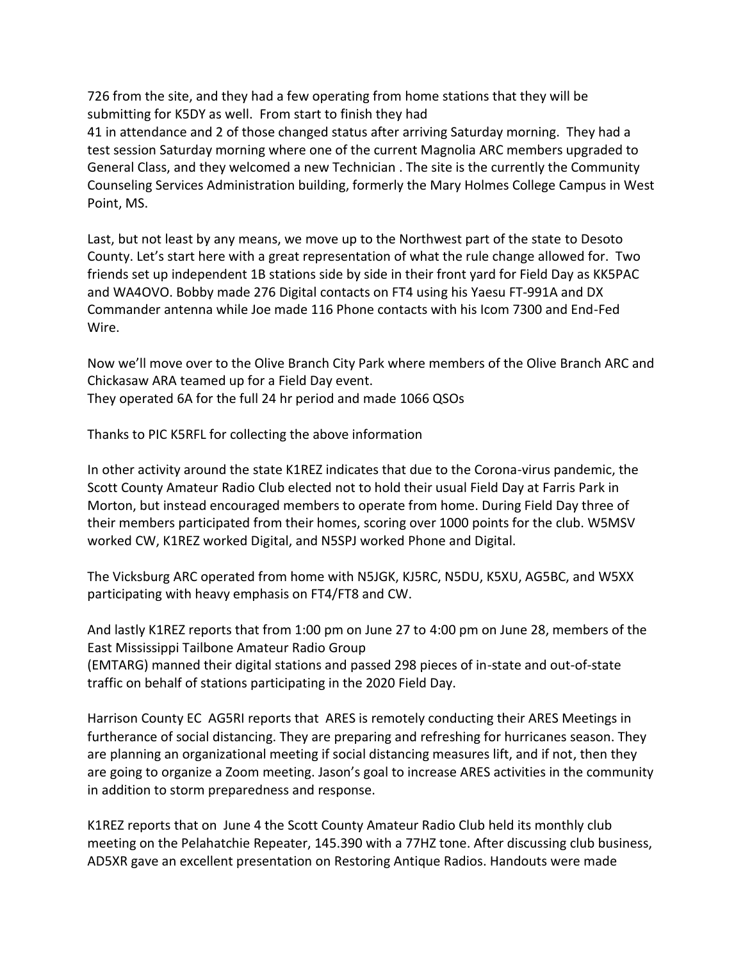726 from the site, and they had a few operating from home stations that they will be submitting for K5DY as well. From start to finish they had

41 in attendance and 2 of those changed status after arriving Saturday morning. They had a test session Saturday morning where one of the current Magnolia ARC members upgraded to General Class, and they welcomed a new Technician . The site is the currently the Community Counseling Services Administration building, formerly the Mary Holmes College Campus in West Point, MS.

Last, but not least by any means, we move up to the Northwest part of the state to Desoto County. Let's start here with a great representation of what the rule change allowed for. Two friends set up independent 1B stations side by side in their front yard for Field Day as KK5PAC and WA4OVO. Bobby made 276 Digital contacts on FT4 using his Yaesu FT-991A and DX Commander antenna while Joe made 116 Phone contacts with his Icom 7300 and End-Fed Wire.

Now we'll move over to the Olive Branch City Park where members of the Olive Branch ARC and Chickasaw ARA teamed up for a Field Day event. They operated 6A for the full 24 hr period and made 1066 QSOs

Thanks to PIC K5RFL for collecting the above information

In other activity around the state K1REZ indicates that due to the Corona-virus pandemic, the Scott County Amateur Radio Club elected not to hold their usual Field Day at Farris Park in Morton, but instead encouraged members to operate from home. During Field Day three of their members participated from their homes, scoring over 1000 points for the club. W5MSV worked CW, K1REZ worked Digital, and N5SPJ worked Phone and Digital.

The Vicksburg ARC operated from home with N5JGK, KJ5RC, N5DU, K5XU, AG5BC, and W5XX participating with heavy emphasis on FT4/FT8 and CW.

And lastly K1REZ reports that from 1:00 pm on June 27 to 4:00 pm on June 28, members of the East Mississippi Tailbone Amateur Radio Group

(EMTARG) manned their digital stations and passed 298 pieces of in-state and out-of-state traffic on behalf of stations participating in the 2020 Field Day.

Harrison County EC AG5RI reports that ARES is remotely conducting their ARES Meetings in furtherance of social distancing. They are preparing and refreshing for hurricanes season. They are planning an organizational meeting if social distancing measures lift, and if not, then they are going to organize a Zoom meeting. Jason's goal to increase ARES activities in the community in addition to storm preparedness and response.

K1REZ reports that on June 4 the Scott County Amateur Radio Club held its monthly club meeting on the Pelahatchie Repeater, 145.390 with a 77HZ tone. After discussing club business, AD5XR gave an excellent presentation on Restoring Antique Radios. Handouts were made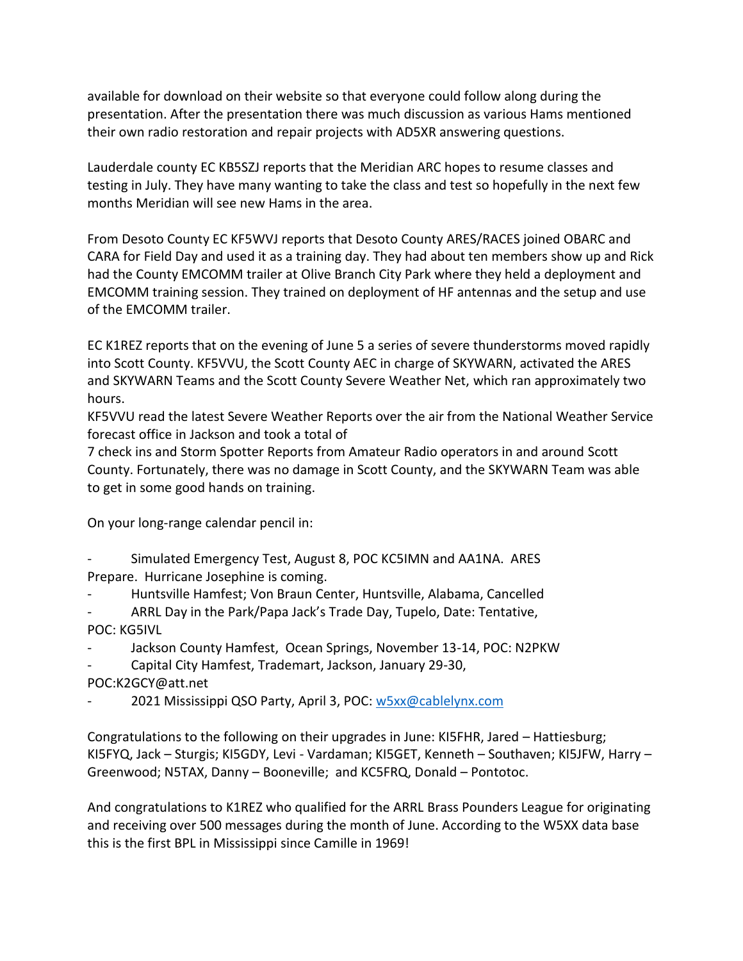available for download on their website so that everyone could follow along during the presentation. After the presentation there was much discussion as various Hams mentioned their own radio restoration and repair projects with AD5XR answering questions.

Lauderdale county EC KB5SZJ reports that the Meridian ARC hopes to resume classes and testing in July. They have many wanting to take the class and test so hopefully in the next few months Meridian will see new Hams in the area.

From Desoto County EC KF5WVJ reports that Desoto County ARES/RACES joined OBARC and CARA for Field Day and used it as a training day. They had about ten members show up and Rick had the County EMCOMM trailer at Olive Branch City Park where they held a deployment and EMCOMM training session. They trained on deployment of HF antennas and the setup and use of the EMCOMM trailer.

EC K1REZ reports that on the evening of June 5 a series of severe thunderstorms moved rapidly into Scott County. KF5VVU, the Scott County AEC in charge of SKYWARN, activated the ARES and SKYWARN Teams and the Scott County Severe Weather Net, which ran approximately two hours.

KF5VVU read the latest Severe Weather Reports over the air from the National Weather Service forecast office in Jackson and took a total of

7 check ins and Storm Spotter Reports from Amateur Radio operators in and around Scott County. Fortunately, there was no damage in Scott County, and the SKYWARN Team was able to get in some good hands on training.

On your long-range calendar pencil in:

- Simulated Emergency Test, August 8, POC KC5IMN and AA1NA. ARES Prepare. Hurricane Josephine is coming.
- Huntsville Hamfest; Von Braun Center, Huntsville, Alabama, Cancelled
- ARRL Day in the Park/Papa Jack's Trade Day, Tupelo, Date: Tentative, POC: KG5IVL
- Jackson County Hamfest, Ocean Springs, November 13-14, POC: N2PKW
- Capital City Hamfest, Trademart, Jackson, January 29-30,
- POC:K2GCY@att.net
- 2021 Mississippi QSO Party, April 3, POC: [w5xx@cablelynx.com](mailto:w5xx@cablelynx.com)

Congratulations to the following on their upgrades in June: KI5FHR, Jared – Hattiesburg; KI5FYQ, Jack – Sturgis; KI5GDY, Levi - Vardaman; KI5GET, Kenneth – Southaven; KI5JFW, Harry – Greenwood; N5TAX, Danny – Booneville; and KC5FRQ, Donald – Pontotoc.

And congratulations to K1REZ who qualified for the ARRL Brass Pounders League for originating and receiving over 500 messages during the month of June. According to the W5XX data base this is the first BPL in Mississippi since Camille in 1969!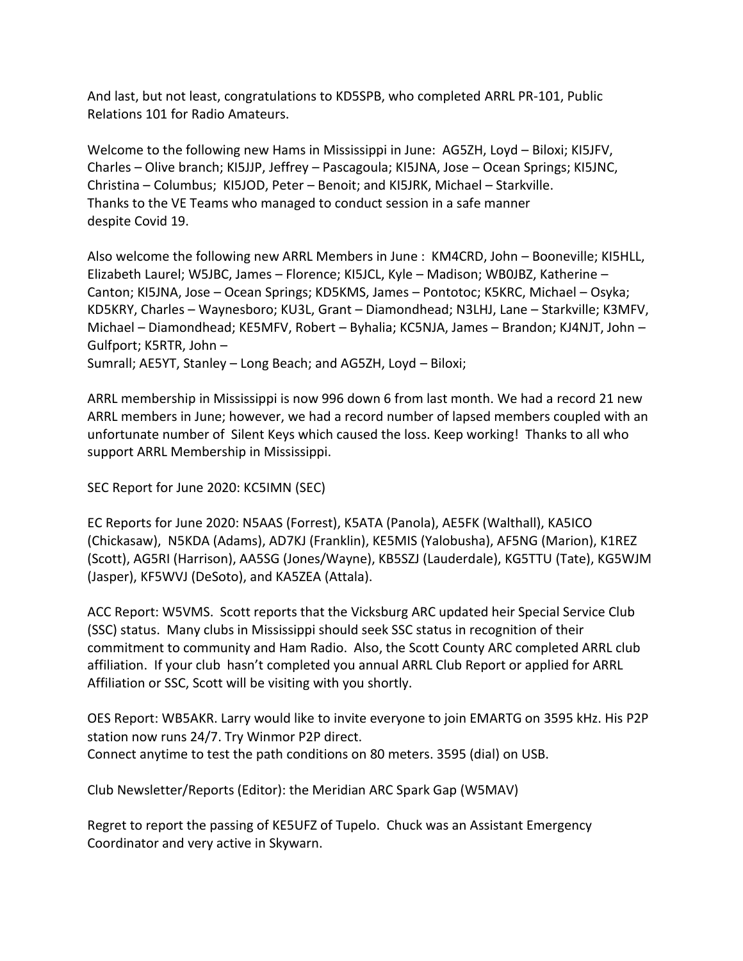And last, but not least, congratulations to KD5SPB, who completed ARRL PR-101, Public Relations 101 for Radio Amateurs.

Welcome to the following new Hams in Mississippi in June: AG5ZH, Loyd – Biloxi; KI5JFV, Charles – Olive branch; KI5JJP, Jeffrey – Pascagoula; KI5JNA, Jose – Ocean Springs; KI5JNC, Christina – Columbus; KI5JOD, Peter – Benoit; and KI5JRK, Michael – Starkville. Thanks to the VE Teams who managed to conduct session in a safe manner despite Covid 19.

Also welcome the following new ARRL Members in June : KM4CRD, John – Booneville; KI5HLL, Elizabeth Laurel; W5JBC, James – Florence; KI5JCL, Kyle – Madison; WB0JBZ, Katherine – Canton; KI5JNA, Jose – Ocean Springs; KD5KMS, James – Pontotoc; K5KRC, Michael – Osyka; KD5KRY, Charles – Waynesboro; KU3L, Grant – Diamondhead; N3LHJ, Lane – Starkville; K3MFV, Michael – Diamondhead; KE5MFV, Robert – Byhalia; KC5NJA, James – Brandon; KJ4NJT, John – Gulfport; K5RTR, John –

Sumrall; AE5YT, Stanley – Long Beach; and AG5ZH, Loyd – Biloxi;

ARRL membership in Mississippi is now 996 down 6 from last month. We had a record 21 new ARRL members in June; however, we had a record number of lapsed members coupled with an unfortunate number of Silent Keys which caused the loss. Keep working! Thanks to all who support ARRL Membership in Mississippi.

SEC Report for June 2020: KC5IMN (SEC)

EC Reports for June 2020: N5AAS (Forrest), K5ATA (Panola), AE5FK (Walthall), KA5ICO (Chickasaw), N5KDA (Adams), AD7KJ (Franklin), KE5MIS (Yalobusha), AF5NG (Marion), K1REZ (Scott), AG5RI (Harrison), AA5SG (Jones/Wayne), KB5SZJ (Lauderdale), KG5TTU (Tate), KG5WJM (Jasper), KF5WVJ (DeSoto), and KA5ZEA (Attala).

ACC Report: W5VMS. Scott reports that the Vicksburg ARC updated heir Special Service Club (SSC) status. Many clubs in Mississippi should seek SSC status in recognition of their commitment to community and Ham Radio. Also, the Scott County ARC completed ARRL club affiliation. If your club hasn't completed you annual ARRL Club Report or applied for ARRL Affiliation or SSC, Scott will be visiting with you shortly.

OES Report: WB5AKR. Larry would like to invite everyone to join EMARTG on 3595 kHz. His P2P station now runs 24/7. Try Winmor P2P direct. Connect anytime to test the path conditions on 80 meters. 3595 (dial) on USB.

Club Newsletter/Reports (Editor): the Meridian ARC Spark Gap (W5MAV)

Regret to report the passing of KE5UFZ of Tupelo. Chuck was an Assistant Emergency Coordinator and very active in Skywarn.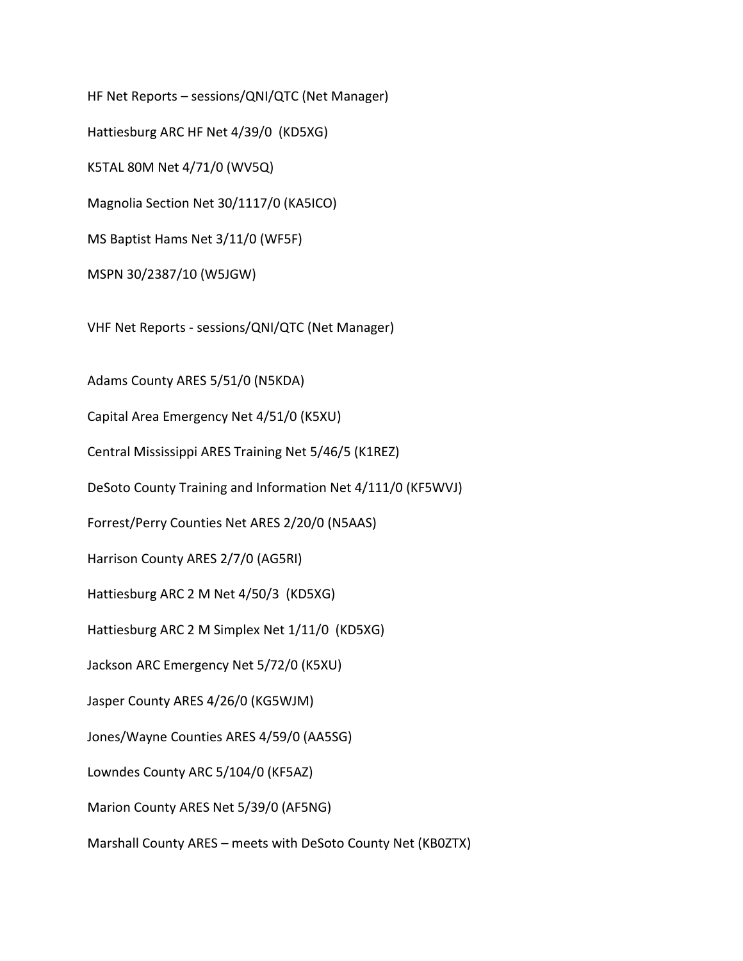HF Net Reports – sessions/QNI/QTC (Net Manager)

Hattiesburg ARC HF Net 4/39/0 (KD5XG)

K5TAL 80M Net 4/71/0 (WV5Q)

Magnolia Section Net 30/1117/0 (KA5ICO)

MS Baptist Hams Net 3/11/0 (WF5F)

MSPN 30/2387/10 (W5JGW)

VHF Net Reports - sessions/QNI/QTC (Net Manager)

Adams County ARES 5/51/0 (N5KDA)

Capital Area Emergency Net 4/51/0 (K5XU)

Central Mississippi ARES Training Net 5/46/5 (K1REZ)

DeSoto County Training and Information Net 4/111/0 (KF5WVJ)

Forrest/Perry Counties Net ARES 2/20/0 (N5AAS)

Harrison County ARES 2/7/0 (AG5RI)

Hattiesburg ARC 2 M Net 4/50/3 (KD5XG)

Hattiesburg ARC 2 M Simplex Net 1/11/0 (KD5XG)

Jackson ARC Emergency Net 5/72/0 (K5XU)

Jasper County ARES 4/26/0 (KG5WJM)

Jones/Wayne Counties ARES 4/59/0 (AA5SG)

Lowndes County ARC 5/104/0 (KF5AZ)

Marion County ARES Net 5/39/0 (AF5NG)

Marshall County ARES – meets with DeSoto County Net (KB0ZTX)